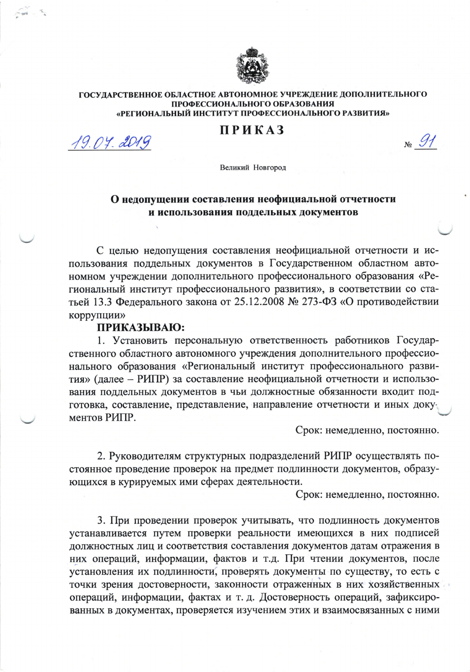

## ГОСУДАРСТВЕННОЕ ОБЛАСТНОЕ АВТОНОМНОЕ УЧРЕЖДЕНИЕ ДОПОЛНИТЕЛЬНОГО ПРОФЕССИОНАЛЬНОГО ОБРАЗОВАНИЯ «РЕГИОНАЛЬНЫЙ ИНСТИТУТ ПРОФЕССИОНАЛЬНОГО РАЗВИТИЯ»

## **ПРИКАЗ**

19.04.2019

 $N<sub>0</sub>$  91

Великий Новгород

## О недопущении составления неофициальной отчетности и использования поддельных документов

С целью недопущения составления неофициальной отчетности и использования поддельных документов в Государственном областном автономном учреждении дополнительного профессионального образования «Региональный институт профессионального развития», в соответствии со статьей 13.3 Федерального закона от 25.12.2008 № 273-ФЗ «О противодействии коррупции»

## ПРИКАЗЫВАЮ:

1. Установить персональную ответственность работников Государственного областного автономного учреждения дополнительного профессионального образования «Региональный институт профессионального развития» (далее - РИПР) за составление неофициальной отчетности и использования поддельных документов в чьи должностные обязанности входит подготовка, составление, представление, направление отчетности и иных документов РИПР.

Срок: немедленно, постоянно.

2. Руководителям структурных подразделений РИПР осуществлять постоянное проведение проверок на предмет подлинности документов, образующихся в курируемых ими сферах деятельности.

Срок: немедленно, постоянно.

3. При проведении проверок учитывать, что подлинность документов устанавливается путем проверки реальности имеющихся в них подписей должностных лиц и соответствия составления документов датам отражения в них операций, информации, фактов и т.д. При чтении документов, после установления их подлинности, проверять документы по существу, то есть с точки зрения достоверности, законности отраженных в них хозяйственных операций, информации, фактах и т. д. Достоверность операций, зафиксированных в документах, проверяется изучением этих и взаимосвязанных с ними